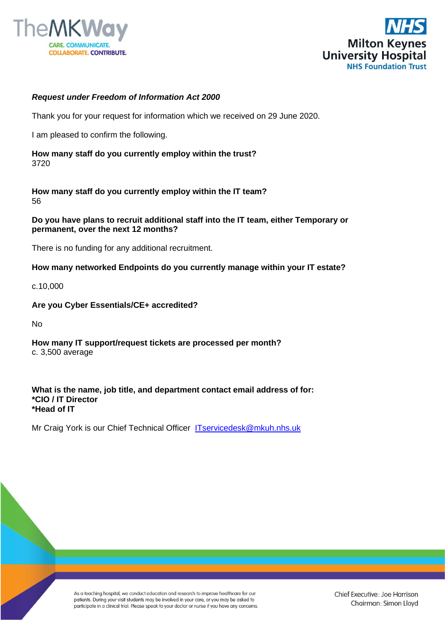



## *Request under Freedom of Information Act 2000*

Thank you for your request for information which we received on 29 June 2020.

I am pleased to confirm the following.

**How many staff do you currently employ within the trust?** 3720

**How many staff do you currently employ within the IT team?** 56

**Do you have plans to recruit additional staff into the IT team, either Temporary or permanent, over the next 12 months?**

There is no funding for any additional recruitment.

**How many networked Endpoints do you currently manage within your IT estate?**

c.10,000

**Are you Cyber Essentials/CE+ accredited?**

No

**How many IT support/request tickets are processed per month?** c. 3,500 average

**What is the name, job title, and department contact email address of for: \*CIO / IT Director \*Head of IT**

Mr Craig York is our Chief Technical Officer [ITservicedesk@mkuh.nhs.uk](mailto:ITservicedesk@mkuh.nhs.uk)

As a teaching hospital, we conduct education and research to improve healthcare for our patients. During your visit students may be involved in your care, or you may be asked to participate in a clinical trial. Please speak to your doctor or nurse if you have any concerns.